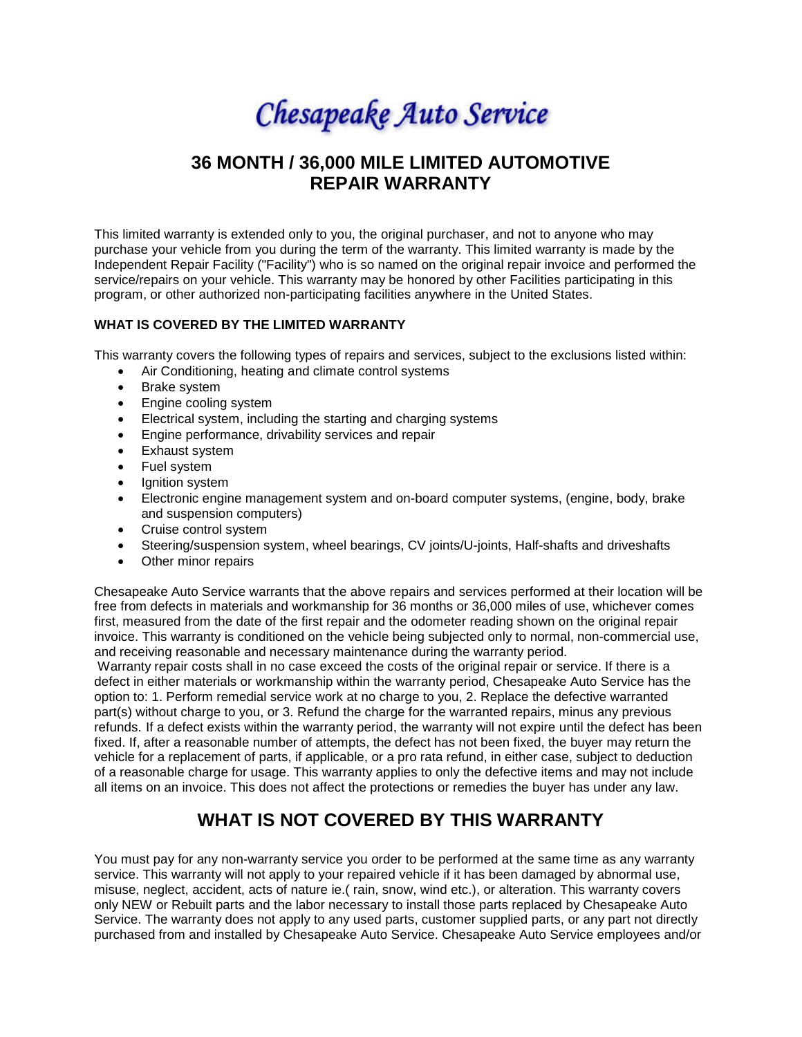Chesapeake Auto Service

## **36 MONTH / 36,000 MILE LIMITED AUTOMOTIVE REPAIR WARRANTY**

This limited warranty is extended only to you, the original purchaser, and not to anyone who may purchase your vehicle from you during the term of the warranty. This limited warranty is made by the Independent Repair Facility ("Facility") who is so named on the original repair invoice and performed the service/repairs on your vehicle. This warranty may be honored by other Facilities participating in this program, or other authorized non-participating facilities anywhere in the United States.

### **WHAT IS COVERED BY THE LIMITED WARRANTY**

This warranty covers the following types of repairs and services, subject to the exclusions listed within:

- Air Conditioning, heating and climate control systems
- Brake system
- Engine cooling system
- Electrical system, including the starting and charging systems
- Engine performance, drivability services and repair
- Exhaust system
- Fuel system
- Ignition system
- Electronic engine management system and on-board computer systems, (engine, body, brake and suspension computers)
- Cruise control system
- Steering/suspension system, wheel bearings, CV joints/U-joints, Half-shafts and driveshafts
- Other minor repairs

Chesapeake Auto Service warrants that the above repairs and services performed at their location will be free from defects in materials and workmanship for 36 months or 36,000 miles of use, whichever comes first, measured from the date of the first repair and the odometer reading shown on the original repair invoice. This warranty is conditioned on the vehicle being subjected only to normal, non-commercial use, and receiving reasonable and necessary maintenance during the warranty period.

 Warranty repair costs shall in no case exceed the costs of the original repair or service. If there is a defect in either materials or workmanship within the warranty period, Chesapeake Auto Service has the option to: 1. Perform remedial service work at no charge to you, 2. Replace the defective warranted part(s) without charge to you, or 3. Refund the charge for the warranted repairs, minus any previous refunds. If a defect exists within the warranty period, the warranty will not expire until the defect has been fixed. If, after a reasonable number of attempts, the defect has not been fixed, the buyer may return the vehicle for a replacement of parts, if applicable, or a pro rata refund, in either case, subject to deduction of a reasonable charge for usage. This warranty applies to only the defective items and may not include all items on an invoice. This does not affect the protections or remedies the buyer has under any law.

# **WHAT IS NOT COVERED BY THIS WARRANTY**

You must pay for any non-warranty service you order to be performed at the same time as any warranty service. This warranty will not apply to your repaired vehicle if it has been damaged by abnormal use, misuse, neglect, accident, acts of nature ie.( rain, snow, wind etc.), or alteration. This warranty covers only NEW or Rebuilt parts and the labor necessary to install those parts replaced by Chesapeake Auto Service. The warranty does not apply to any used parts, customer supplied parts, or any part not directly purchased from and installed by Chesapeake Auto Service. Chesapeake Auto Service employees and/or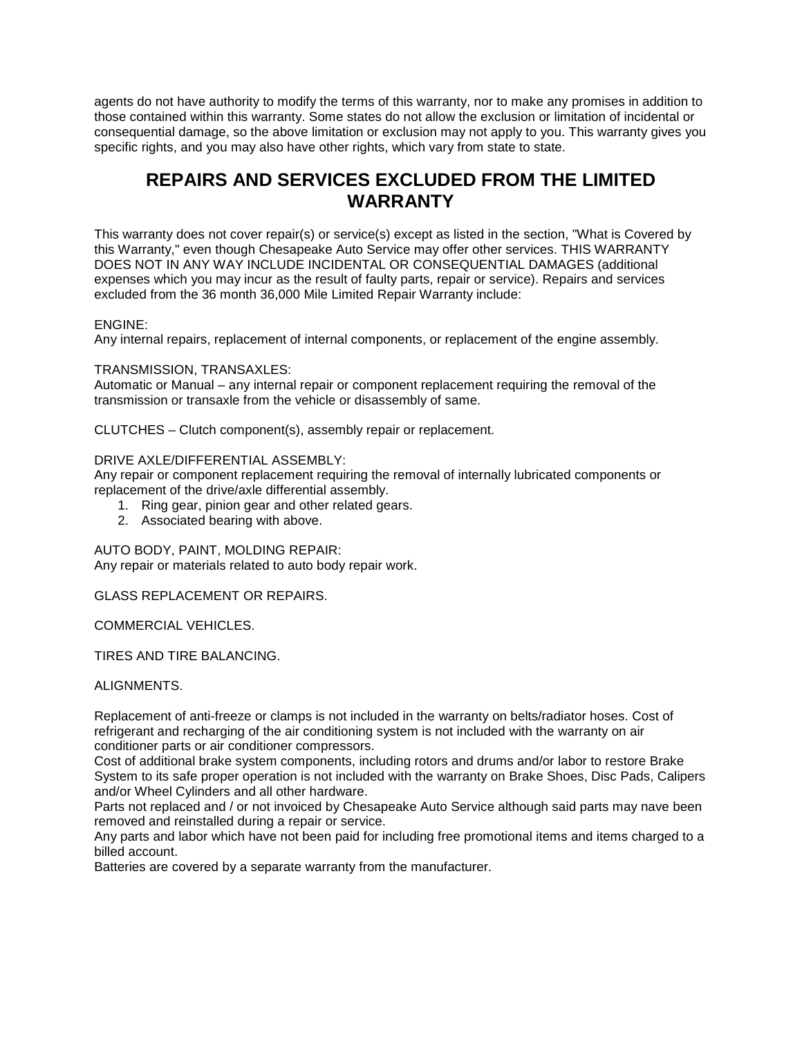agents do not have authority to modify the terms of this warranty, nor to make any promises in addition to those contained within this warranty. Some states do not allow the exclusion or limitation of incidental or consequential damage, so the above limitation or exclusion may not apply to you. This warranty gives you specific rights, and you may also have other rights, which vary from state to state.

## **REPAIRS AND SERVICES EXCLUDED FROM THE LIMITED WARRANTY**

This warranty does not cover repair(s) or service(s) except as listed in the section, "What is Covered by this Warranty," even though Chesapeake Auto Service may offer other services. THIS WARRANTY DOES NOT IN ANY WAY INCLUDE INCIDENTAL OR CONSEQUENTIAL DAMAGES (additional expenses which you may incur as the result of faulty parts, repair or service). Repairs and services excluded from the 36 month 36,000 Mile Limited Repair Warranty include:

### ENGINE:

Any internal repairs, replacement of internal components, or replacement of the engine assembly.

### TRANSMISSION, TRANSAXLES:

Automatic or Manual – any internal repair or component replacement requiring the removal of the transmission or transaxle from the vehicle or disassembly of same.

CLUTCHES – Clutch component(s), assembly repair or replacement.

#### DRIVE AXLE/DIFFERENTIAL ASSEMBLY:

Any repair or component replacement requiring the removal of internally lubricated components or replacement of the drive/axle differential assembly.

- 1. Ring gear, pinion gear and other related gears.
- 2. Associated bearing with above.

AUTO BODY, PAINT, MOLDING REPAIR:

Any repair or materials related to auto body repair work.

GLASS REPLACEMENT OR REPAIRS.

COMMERCIAL VEHICLES.

TIRES AND TIRE BALANCING.

#### ALIGNMENTS.

Replacement of anti-freeze or clamps is not included in the warranty on belts/radiator hoses. Cost of refrigerant and recharging of the air conditioning system is not included with the warranty on air conditioner parts or air conditioner compressors.

Cost of additional brake system components, including rotors and drums and/or labor to restore Brake System to its safe proper operation is not included with the warranty on Brake Shoes, Disc Pads, Calipers and/or Wheel Cylinders and all other hardware.

Parts not replaced and / or not invoiced by Chesapeake Auto Service although said parts may nave been removed and reinstalled during a repair or service.

Any parts and labor which have not been paid for including free promotional items and items charged to a billed account.

Batteries are covered by a separate warranty from the manufacturer.